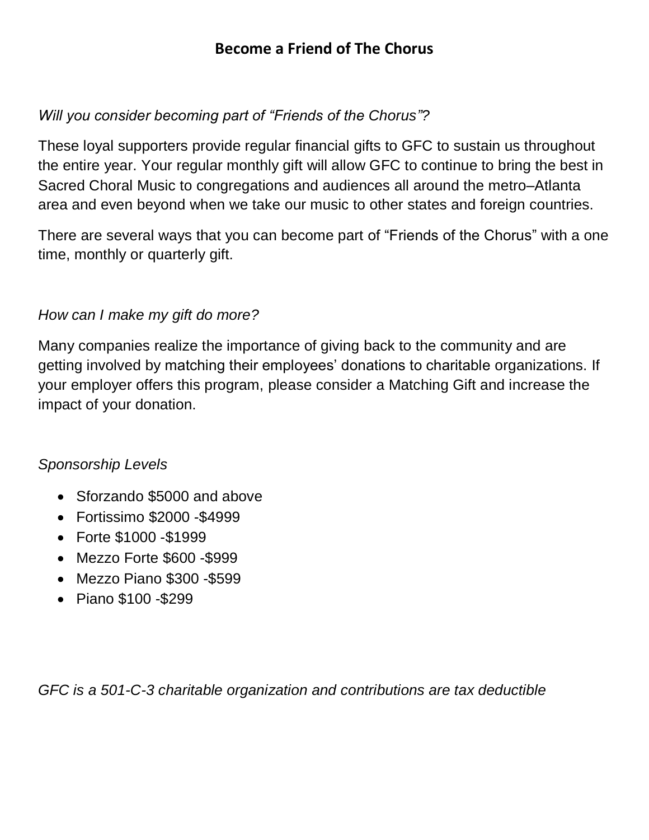# **Become a Friend of The Chorus**

### *Will you consider becoming part of "Friends of the Chorus"?*

These loyal supporters provide regular financial gifts to GFC to sustain us throughout the entire year. Your regular monthly gift will allow GFC to continue to bring the best in Sacred Choral Music to congregations and audiences all around the metro–Atlanta area and even beyond when we take our music to other states and foreign countries.

There are several ways that you can become part of "Friends of the Chorus" with a one time, monthly or quarterly gift.

### *How can I make my gift do more?*

Many companies realize the importance of giving back to the community and are getting involved by matching their employees' donations to charitable organizations. If your employer offers this program, please consider a Matching Gift and increase the impact of your donation.

#### *Sponsorship Levels*

- Sforzando \$5000 and above
- Fortissimo \$2000 -\$4999
- Forte \$1000 -\$1999
- Mezzo Forte \$600 -\$999
- Mezzo Piano \$300 -\$599
- Piano \$100 -\$299

*GFC is a 501-C-3 charitable organization and contributions are tax deductible*